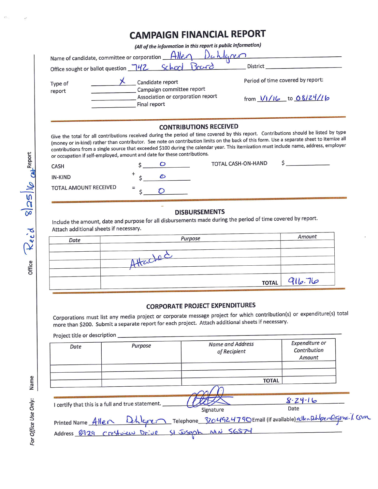## **CAMPAIGN FINANCIAL REPORT**

*(All of the information in this report is public information)* 

|                        | Name of candidate, committee or corporation $\Box$<br>Duhlaren<br>Office sought or ballot question 742 School Board | <b>District</b>                   |  |
|------------------------|---------------------------------------------------------------------------------------------------------------------|-----------------------------------|--|
| Type of<br>report      | Candidate report<br>Campaign committee report<br>Association or corporation report                                  | Period of time covered by report: |  |
|                        | Final report                                                                                                        | from $1/1/16$ to 08/24/16         |  |
| CONTRIBUTIONS RECEIVED |                                                                                                                     |                                   |  |

## **CONTRIBUTIONS RECEIVED**

Give the total for all contributions received during the period of time covered by this report. Contributions should be listed by type (money or in-kind) rather than contributor. See note on contribution limits on the back of this form. Use a separate sheet to itemize all contributions from a single source that exceeded \$100 during the calendar year. This itemization must include name, address, employer 0 or occupation if self-employed, amount and date for these contributions.

| Rep | <b>CASH</b>           | TOTAL CASH-ON-HAND |  |
|-----|-----------------------|--------------------|--|
|     | IN-KIND               |                    |  |
| ⊻   | TOTAL AMOUNT RECEIVED |                    |  |

## **DISBURSEMENTS**

Include the amount, date and purpose for all disbursements made during the period of time covered by report. Attach additional sheets if necessary.

| Date | Purpose  |              | Amount |
|------|----------|--------------|--------|
|      | Attachec |              |        |
|      |          | <b>TOTAL</b> | 916.76 |

## **CORPORATE PROJECT EXPENDITURES**

Corporations must list any media project or corporate message project for which contribution(s) or expenditure(s) total more than \$200. Submit a separate report for each project. Attach additional sheets if necessary.

Project title or description \_

| Date | Purpose                                           | <b>Name and Address</b><br>of Recipient                                                                                                            | Expenditure or<br>Contribution<br>Amount |
|------|---------------------------------------------------|----------------------------------------------------------------------------------------------------------------------------------------------------|------------------------------------------|
|      |                                                   |                                                                                                                                                    | <b>TOTAL</b>                             |
|      | I certify that this is a full and true statement. | Signature                                                                                                                                          | $8 - 24 - 16$<br>Date                    |
|      |                                                   | Printed Name Allen Dehlgren Telephone 3204924790Email (if available) eilen Dingen Canna. J. Com<br>Address 8929 Creftween Drive St Joseph MN 56874 |                                          |

 $\bm{\omega}$ 

**E Q)** 

**z 111** 

For Office Use Only:

t'.